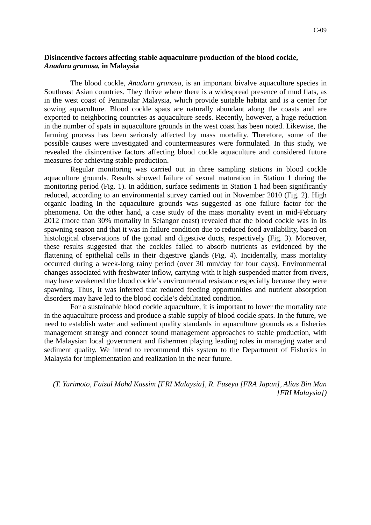## **Disincentive factors affecting stable aquaculture production of the blood cockle,**  *Anadara granosa,* **in Malaysia**

The blood cockle, *Anadara granosa*, is an important bivalve aquaculture species in Southeast Asian countries. They thrive where there is a widespread presence of mud flats, as in the west coast of Peninsular Malaysia, which provide suitable habitat and is a center for sowing aquaculture. Blood cockle spats are naturally abundant along the coasts and are exported to neighboring countries as aquaculture seeds. Recently, however, a huge reduction in the number of spats in aquaculture grounds in the west coast has been noted. Likewise, the farming process has been seriously affected by mass mortality. Therefore, some of the possible causes were investigated and countermeasures were formulated. In this study, we revealed the disincentive factors affecting blood cockle aquaculture and considered future measures for achieving stable production.

Regular monitoring was carried out in three sampling stations in blood cockle aquaculture grounds. Results showed failure of sexual maturation in Station 1 during the monitoring period (Fig. 1). In addition, surface sediments in Station 1 had been significantly reduced, according to an environmental survey carried out in November 2010 (Fig. 2). High organic loading in the aquaculture grounds was suggested as one failure factor for the phenomena. On the other hand, a case study of the mass mortality event in mid-February 2012 (more than 30% mortality in Selangor coast) revealed that the blood cockle was in its spawning season and that it was in failure condition due to reduced food availability, based on histological observations of the gonad and digestive ducts, respectively (Fig. 3). Moreover, these results suggested that the cockles failed to absorb nutrients as evidenced by the flattening of epithelial cells in their digestive glands (Fig. 4). Incidentally, mass mortality occurred during a week-long rainy period (over 30 mm/day for four days). Environmental changes associated with freshwater inflow, carrying with it high-suspended matter from rivers, may have weakened the blood cockle's environmental resistance especially because they were spawning. Thus, it was inferred that reduced feeding opportunities and nutrient absorption disorders may have led to the blood cockle's debilitated condition.

For a sustainable blood cockle aquaculture, it is important to lower the mortality rate in the aquaculture process and produce a stable supply of blood cockle spats. In the future, we need to establish water and sediment quality standards in aquaculture grounds as a fisheries management strategy and connect sound management approaches to stable production, with the Malaysian local government and fishermen playing leading roles in managing water and sediment quality. We intend to recommend this system to the Department of Fisheries in Malaysia for implementation and realization in the near future.

*(T. Yurimoto, Faizul Mohd Kassim [FRI Malaysia], R. Fuseya [FRA Japan], Alias Bin Man [FRI Malaysia])*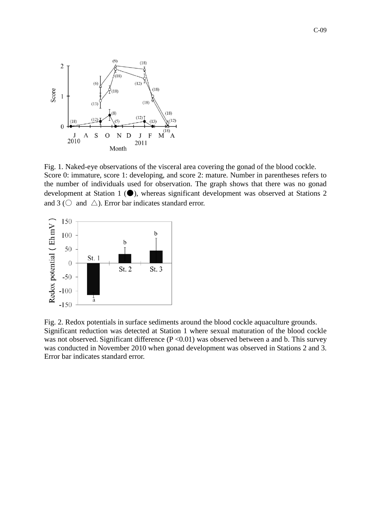

Fig. 1. Naked-eye observations of the visceral area covering the gonad of the blood cockle. Score 0: immature, score 1: developing, and score 2: mature. Number in parentheses refers to the number of individuals used for observation. The graph shows that there was no gonad development at Station 1 (●), whereas significant development was observed at Stations 2 and 3 ( $\circ$  and  $\triangle$ ). Error bar indicates standard error.



Fig. 2. Redox potentials in surface sediments around the blood cockle aquaculture grounds. Significant reduction was detected at Station 1 where sexual maturation of the blood cockle was not observed. Significant difference  $(P \le 0.01)$  was observed between a and b. This survey was conducted in November 2010 when gonad development was observed in Stations 2 and 3. Error bar indicates standard error.